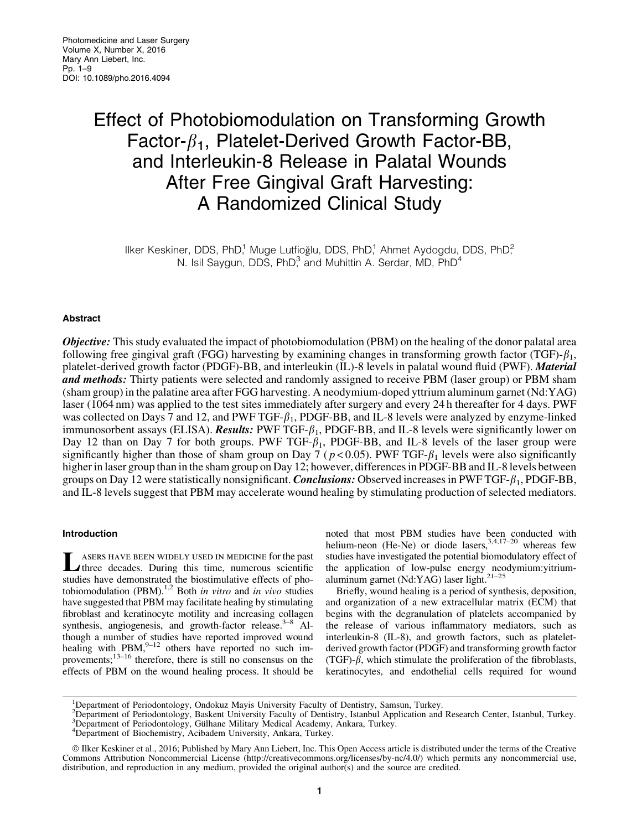# Effect of Photobiomodulation on Transforming Growth Factor- $\beta_1$ , Platelet-Derived Growth Factor-BB, and Interleukin-8 Release in Palatal Wounds After Free Gingival Graft Harvesting: A Randomized Clinical Study

Ilker Keskiner, DDS, PhD,<sup>1</sup> Muge Lutfioğlu, DDS, PhD,<sup>1</sup> Ahmet Aydogdu, DDS, PhD,<sup>2</sup> N. Isil Saygun, DDS, PhD $3$  and Muhittin A. Serdar, MD, PhD $4$ 

## Abstract

**Objective:** This study evaluated the impact of photobiomodulation (PBM) on the healing of the donor palatal area following free gingival graft (FGG) harvesting by examining changes in transforming growth factor (TGF)- $\beta_1$ , platelet-derived growth factor (PDGF)-BB, and interleukin (IL)-8 levels in palatal wound fluid (PWF). Material and methods: Thirty patients were selected and randomly assigned to receive PBM (laser group) or PBM sham (sham group) in the palatine area after FGG harvesting. A neodymium-doped yttrium aluminum garnet (Nd:YAG) laser (1064 nm) was applied to the test sites immediately after surgery and every 24 h thereafter for 4 days. PWF was collected on Days 7 and 12, and PWF TGF- $\beta_1$ , PDGF-BB, and IL-8 levels were analyzed by enzyme-linked immunosorbent assays (ELISA). Results: PWF TGF- $\beta_1$ , PDGF-BB, and IL-8 levels were significantly lower on Day 12 than on Day 7 for both groups. PWF TGF- $\beta_1$ , PDGF-BB, and IL-8 levels of the laser group were significantly higher than those of sham group on Day 7 ( $p < 0.05$ ). PWF TGF- $\beta_1$  levels were also significantly higher in laser group than in the sham group on Day 12; however, differences in PDGF-BB and IL-8 levels between groups on Day 12 were statistically nonsignificant. *Conclusions:* Observed increases in PWF TGF- $\beta_1$ , PDGF-BB, and IL-8 levels suggest that PBM may accelerate wound healing by stimulating production of selected mediators.

## Introduction

LASERS HAVE BEEN WIDELY USED IN MEDICINE for the past<br>three decades. During this time, numerous scientific studies have demonstrated the biostimulative effects of photobiomodulation (PBM).1,2 Both *in vitro* and *in vivo* studies have suggested that PBM may facilitate healing by stimulating fibroblast and keratinocyte motility and increasing collagen synthesis, angiogenesis, and growth-factor release.<sup>3–8</sup> Although a number of studies have reported improved wound healing with PBM, $9-12$  others have reported no such improvements;13–16 therefore, there is still no consensus on the effects of PBM on the wound healing process. It should be

noted that most PBM studies have been conducted with helium-neon (He-Ne) or diode lasers,  $3,4,17-20$  whereas few studies have investigated the potential biomodulatory effect of the application of low-pulse energy neodymium:yitriumaluminum garnet (Nd:YAG) laser light. $21-25$ 

Briefly, wound healing is a period of synthesis, deposition, and organization of a new extracellular matrix (ECM) that begins with the degranulation of platelets accompanied by the release of various inflammatory mediators, such as interleukin-8 (IL-8), and growth factors, such as plateletderived growth factor (PDGF) and transforming growth factor (TGF)- $\beta$ , which stimulate the proliferation of the fibroblasts, keratinocytes, and endothelial cells required for wound

<sup>&</sup>lt;sup>1</sup>Department of Periodontology, Ondokuz Mayis University Faculty of Dentistry, Samsun, Turkey.

<sup>&</sup>lt;sup>2</sup>Department of Periodontology, Baskent University Faculty of Dentistry, Istanbul Application and Research Center, Istanbul, Turkey.<br><sup>3</sup>Department of Periodontology, Gülhane Military Medical Academy, Ankara, Turkey.<br><sup>4</sup>De

Department of Biochemistry, Acibadem University, Ankara, Turkey.

ª Ilker Keskiner et al., 2016; Published by Mary Ann Liebert, Inc. This Open Access article is distributed under the terms of the Creative Commons Attribution Noncommercial License (http://creativecommons.org/licenses/by-nc/4.0/) which permits any noncommercial use, distribution, and reproduction in any medium, provided the original author(s) and the source are credited.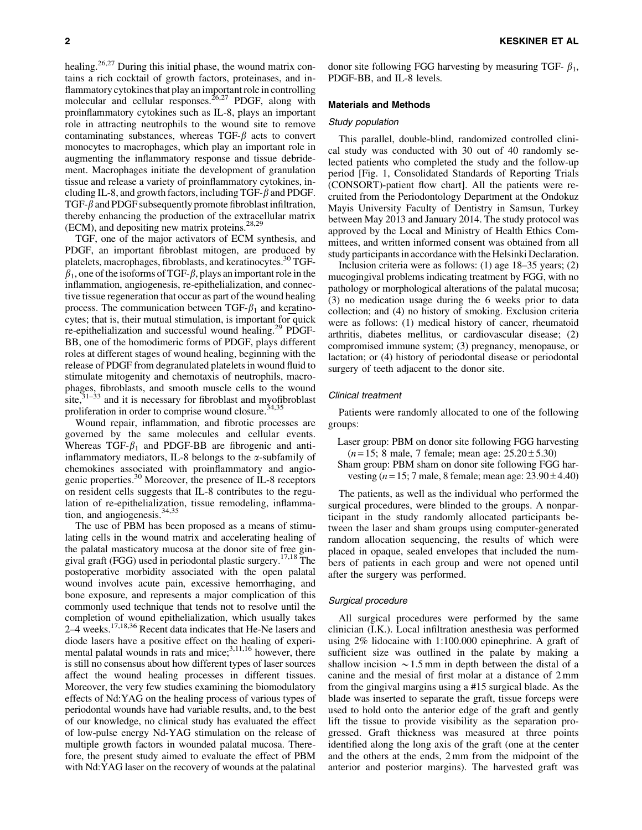healing.<sup>26,27</sup> During this initial phase, the wound matrix contains a rich cocktail of growth factors, proteinases, and inflammatory cytokines that play an important role in controlling molecular and cellular responses.<sup>26,27</sup> PDGF, along with proinflammatory cytokines such as IL-8, plays an important role in attracting neutrophils to the wound site to remove contaminating substances, whereas  $TGF-\beta$  acts to convert monocytes to macrophages, which play an important role in augmenting the inflammatory response and tissue debridement. Macrophages initiate the development of granulation tissue and release a variety of proinflammatory cytokines, including IL-8, and growth factors, including TGF- $\beta$  and PDGF. TGF- $\beta$  and PDGF subsequently promote fibroblast infiltration, thereby enhancing the production of the extracellular matrix (ECM), and depositing new matrix proteins.28,29

TGF, one of the major activators of ECM synthesis, and PDGF, an important fibroblast mitogen, are produced by platelets, macrophages, fibroblasts, and keratinocytes.<sup>30</sup> TGF- $\beta_1$ , one of the isoforms of TGF- $\beta$ , plays an important role in the inflammation, angiogenesis, re-epithelialization, and connective tissue regeneration that occur as part of the wound healing process. The communication between TGF- $\beta_1$  and keratinocytes; that is, their mutual stimulation, is important for quick re-epithelialization and successful wound healing.29 PDGF-BB, one of the homodimeric forms of PDGF, plays different roles at different stages of wound healing, beginning with the release of PDGF from degranulated platelets in wound fluid to stimulate mitogenity and chemotaxis of neutrophils, macrophages, fibroblasts, and smooth muscle cells to the wound site, $3^{1-33}$  and it is necessary for fibroblast and myofibroblast proliferation in order to comprise wound closure.<sup>34,35</sup>

Wound repair, inflammation, and fibrotic processes are governed by the same molecules and cellular events. Whereas TGF- $\beta_1$  and PDGF-BB are fibrogenic and antiinflammatory mediators, IL-8 belongs to the  $\alpha$ -subfamily of chemokines associated with proinflammatory and angiogenic properties.30 Moreover, the presence of IL-8 receptors on resident cells suggests that IL-8 contributes to the regulation of re-epithelialization, tissue remodeling, inflammation, and angiogenesis.<sup>34,35</sup>

The use of PBM has been proposed as a means of stimulating cells in the wound matrix and accelerating healing of the palatal masticatory mucosa at the donor site of free gingival graft (FGG) used in periodontal plastic surgery.17,18 The postoperative morbidity associated with the open palatal wound involves acute pain, excessive hemorrhaging, and bone exposure, and represents a major complication of this commonly used technique that tends not to resolve until the completion of wound epithelialization, which usually takes 2–4 weeks.17,18,36 Recent data indicates that He-Ne lasers and diode lasers have a positive effect on the healing of experimental palatal wounds in rats and mice; $^{3,11,16}$  however, there is still no consensus about how different types of laser sources affect the wound healing processes in different tissues. Moreover, the very few studies examining the biomodulatory effects of Nd:YAG on the healing process of various types of periodontal wounds have had variable results, and, to the best of our knowledge, no clinical study has evaluated the effect of low-pulse energy Nd-YAG stimulation on the release of multiple growth factors in wounded palatal mucosa. Therefore, the present study aimed to evaluate the effect of PBM with Nd:YAG laser on the recovery of wounds at the palatinal donor site following FGG harvesting by measuring TGF- $\beta_1$ , PDGF-BB, and IL-8 levels.

#### Materials and Methods

## Study population

This parallel, double-blind, randomized controlled clinical study was conducted with 30 out of 40 randomly selected patients who completed the study and the follow-up period [Fig. 1, Consolidated Standards of Reporting Trials (CONSORT)-patient flow chart]. All the patients were recruited from the Periodontology Department at the Ondokuz Mayis University Faculty of Dentistry in Samsun, Turkey between May 2013 and January 2014. The study protocol was approved by the Local and Ministry of Health Ethics Committees, and written informed consent was obtained from all study participants in accordance with the Helsinki Declaration.

Inclusion criteria were as follows: (1) age 18–35 years; (2) mucogingival problems indicating treatment by FGG, with no pathology or morphological alterations of the palatal mucosa; (3) no medication usage during the 6 weeks prior to data collection; and (4) no history of smoking. Exclusion criteria were as follows: (1) medical history of cancer, rheumatoid arthritis, diabetes mellitus, or cardiovascular disease; (2) compromised immune system; (3) pregnancy, menopause, or lactation; or (4) history of periodontal disease or periodontal surgery of teeth adjacent to the donor site.

#### Clinical treatment

Patients were randomly allocated to one of the following groups:

- Laser group: PBM on donor site following FGG harvesting  $(n=15; 8 \text{ male}, 7 \text{ female}; \text{mean age}: 25.20 \pm 5.30)$
- Sham group: PBM sham on donor site following FGG harvesting ( $n = 15$ ; 7 male, 8 female; mean age:  $23.90 \pm 4.40$ )

The patients, as well as the individual who performed the surgical procedures, were blinded to the groups. A nonparticipant in the study randomly allocated participants between the laser and sham groups using computer-generated random allocation sequencing, the results of which were placed in opaque, sealed envelopes that included the numbers of patients in each group and were not opened until after the surgery was performed.

#### Surgical procedure

All surgical procedures were performed by the same clinician (I.K.). Local infiltration anesthesia was performed using 2% lidocaine with 1:100.000 epinephrine. A graft of sufficient size was outlined in the palate by making a shallow incision  $\sim$  1.5 mm in depth between the distal of a canine and the mesial of first molar at a distance of 2 mm from the gingival margins using a #15 surgical blade. As the blade was inserted to separate the graft, tissue forceps were used to hold onto the anterior edge of the graft and gently lift the tissue to provide visibility as the separation progressed. Graft thickness was measured at three points identified along the long axis of the graft (one at the center and the others at the ends, 2 mm from the midpoint of the anterior and posterior margins). The harvested graft was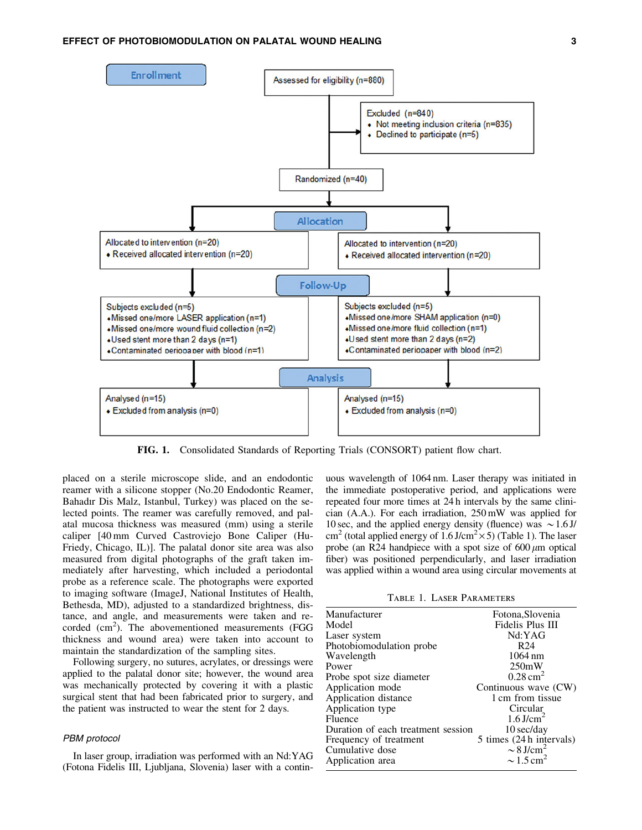

FIG. 1. Consolidated Standards of Reporting Trials (CONSORT) patient flow chart.

placed on a sterile microscope slide, and an endodontic reamer with a silicone stopper (No.20 Endodontic Reamer, Bahadır Dis Malz, Istanbul, Turkey) was placed on the selected points. The reamer was carefully removed, and palatal mucosa thickness was measured (mm) using a sterile caliper [40 mm Curved Castroviejo Bone Caliper (Hu-Friedy, Chicago, IL)]. The palatal donor site area was also measured from digital photographs of the graft taken immediately after harvesting, which included a periodontal probe as a reference scale. The photographs were exported to imaging software (ImageJ, National Institutes of Health, Bethesda, MD), adjusted to a standardized brightness, distance, and angle, and measurements were taken and recorded  $(cm^2)$ . The abovementioned measurements (FGG thickness and wound area) were taken into account to maintain the standardization of the sampling sites.

Following surgery, no sutures, acrylates, or dressings were applied to the palatal donor site; however, the wound area was mechanically protected by covering it with a plastic surgical stent that had been fabricated prior to surgery, and the patient was instructed to wear the stent for 2 days.

## PBM protocol

In laser group, irradiation was performed with an Nd:YAG (Fotona Fidelis III, Ljubljana, Slovenia) laser with a contin-

uous wavelength of 1064 nm. Laser therapy was initiated in the immediate postoperative period, and applications were repeated four more times at 24 h intervals by the same clinician (A.A.). For each irradiation, 250 mW was applied for 10 sec, and the applied energy density (fluence) was  $\sim$  1.6 J/ cm<sup>2</sup> (total applied energy of 1.6 J/cm<sup>2</sup> $\times$ 5) (Table 1). The laser probe (an R24 handpiece with a spot size of  $600 \mu m$  optical fiber) was positioned perpendicularly, and laser irradiation was applied within a wound area using circular movements at

Table 1. Laser Parameters

| Manufacturer                       | Fotona, Slovenia           |
|------------------------------------|----------------------------|
| Model                              | Fidelis Plus III           |
| Laser system                       | Nd:YAG                     |
| Photobiomodulation probe           | R <sub>24</sub>            |
| Wavelength                         | $1064 \text{ nm}$          |
| Power                              | 250mW                      |
| Probe spot size diameter           | $0.28 \text{ cm}^2$        |
| Application mode                   | Continuous wave (CW)       |
| Application distance               | 1 cm from tissue           |
| Application type                   | Circular                   |
| Fluence                            | $1.6$ J/cm <sup>2</sup>    |
| Duration of each treatment session | $10$ sec/day               |
| Frequency of treatment             | 5 times (24 h intervals)   |
| Cumulative dose                    | $\sim 8$ J/cm <sup>2</sup> |
| Application area                   | $\sim$ 1.5 cm <sup>2</sup> |
|                                    |                            |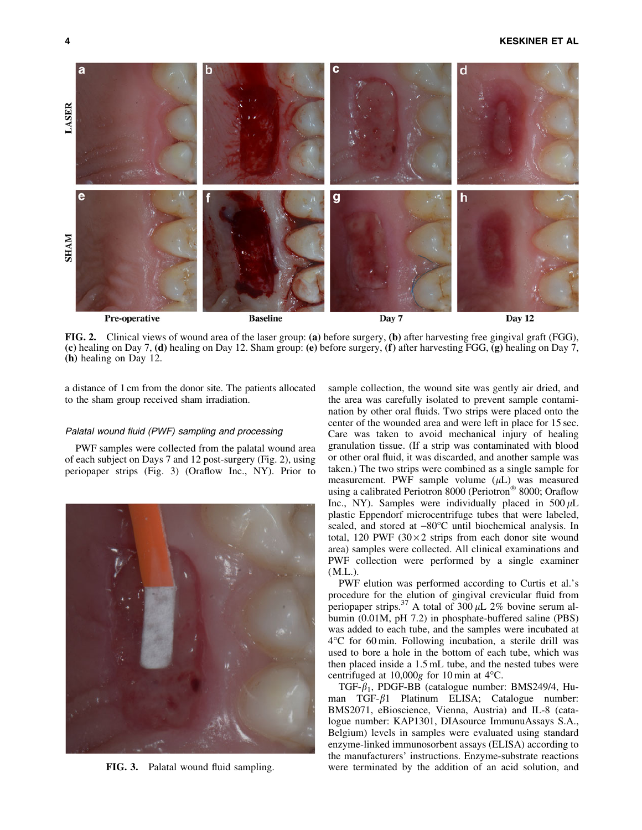## 4 KESKINER ET AL



FIG. 2. Clinical views of wound area of the laser group: (a) before surgery, (b) after harvesting free gingival graft (FGG), (c) healing on Day 7, (d) healing on Day 12. Sham group: (e) before surgery, (f) after harvesting FGG, (g) healing on Day 7, (h) healing on Day 12.

a distance of 1 cm from the donor site. The patients allocated to the sham group received sham irradiation.

## Palatal wound fluid (PWF) sampling and processing

PWF samples were collected from the palatal wound area of each subject on Days 7 and 12 post-surgery (Fig. 2), using periopaper strips (Fig. 3) (Oraflow Inc., NY). Prior to



FIG. 3. Palatal wound fluid sampling.

sample collection, the wound site was gently air dried, and the area was carefully isolated to prevent sample contamination by other oral fluids. Two strips were placed onto the center of the wounded area and were left in place for 15 sec. Care was taken to avoid mechanical injury of healing granulation tissue. (If a strip was contaminated with blood or other oral fluid, it was discarded, and another sample was taken.) The two strips were combined as a single sample for measurement. PWF sample volume  $(\mu L)$  was measured using a calibrated Periotron 8000 (Periotron® 8000; Oraflow Inc., NY). Samples were individually placed in  $500 \mu L$ plastic Eppendorf microcentrifuge tubes that were labeled, sealed, and stored at  $-80^{\circ}$ C until biochemical analysis. In total, 120 PWF ( $30 \times 2$  strips from each donor site wound area) samples were collected. All clinical examinations and PWF collection were performed by a single examiner (M.L.).

PWF elution was performed according to Curtis et al.'s procedure for the elution of gingival crevicular fluid from periopaper strips.<sup>37</sup> A total of  $300 \mu L$  2% bovine serum albumin (0.01M, pH 7.2) in phosphate-buffered saline (PBS) was added to each tube, and the samples were incubated at  $4^{\circ}$ C for 60 min. Following incubation, a sterile drill was used to bore a hole in the bottom of each tube, which was then placed inside a 1.5 mL tube, and the nested tubes were centrifuged at  $10,000g$  for 10 min at  $4^{\circ}$ C.

TGF- $\beta_1$ , PDGF-BB (catalogue number: BMS249/4, Human TGF- $\beta$ 1 Platinum ELISA; Catalogue number: BMS2071, eBioscience, Vienna, Austria) and IL-8 (catalogue number: KAP1301, DIAsource ImmunuAssays S.A., Belgium) levels in samples were evaluated using standard enzyme-linked immunosorbent assays (ELISA) according to the manufacturers' instructions. Enzyme-substrate reactions were terminated by the addition of an acid solution, and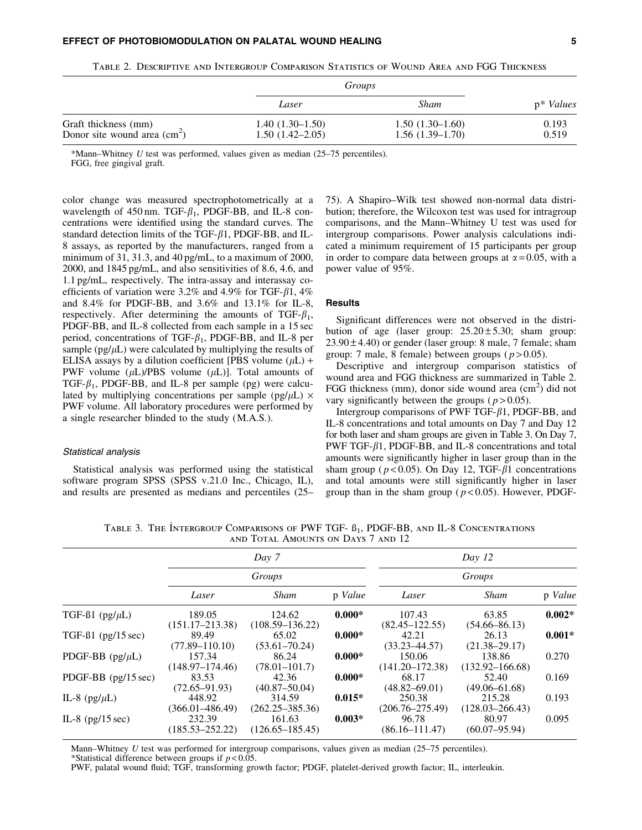|                                                       | Groups                                   |                                        |                |  |
|-------------------------------------------------------|------------------------------------------|----------------------------------------|----------------|--|
|                                                       | Laser                                    | Sham                                   | $p^*$ Values   |  |
| Graft thickness (mm)<br>Donor site wound area $(cm2)$ | $1.40(1.30-1.50)$<br>$1.50(1.42 - 2.05)$ | $1.50(1.30-1.60)$<br>$1.56(1.39-1.70)$ | 0.193<br>0.519 |  |

Table 2. Descriptive and Intergroup Comparison Statistics of Wound Area and FGG Thickness

\*Mann–Whitney *U* test was performed, values given as median (25–75 percentiles).

FGG, free gingival graft.

color change was measured spectrophotometrically at a wavelength of 450 nm. TGF- $\beta_1$ , PDGF-BB, and IL-8 concentrations were identified using the standard curves. The standard detection limits of the TGF- $\beta$ 1, PDGF-BB, and IL-8 assays, as reported by the manufacturers, ranged from a minimum of 31, 31.3, and 40 pg/mL, to a maximum of 2000, 2000, and 1845 pg/mL, and also sensitivities of 8.6, 4.6, and 1.1 pg/mL, respectively. The intra-assay and interassay coefficients of variation were 3.2% and 4.9% for TGF- $\beta$ 1, 4% and 8.4% for PDGF-BB, and 3.6% and 13.1% for IL-8, respectively. After determining the amounts of TGF- $\beta_1$ , PDGF-BB, and IL-8 collected from each sample in a 15 sec period, concentrations of TGF- $\beta_1$ , PDGF-BB, and IL-8 per sample ( $pg/µL$ ) were calculated by multiplying the results of ELISA assays by a dilution coefficient [PBS volume  $(\mu L)$  + PWF volume  $(\mu L)/PBS$  volume  $(\mu L)$ ]. Total amounts of TGF- $\beta_1$ , PDGF-BB, and IL-8 per sample (pg) were calculated by multiplying concentrations per sample ( $pg/µL$ )  $\times$ PWF volume. All laboratory procedures were performed by a single researcher blinded to the study (M.A.S.).

#### Statistical analysis

Statistical analysis was performed using the statistical software program SPSS (SPSS v.21.0 Inc., Chicago, IL), and results are presented as medians and percentiles (25– 75). A Shapiro–Wilk test showed non-normal data distribution; therefore, the Wilcoxon test was used for intragroup comparisons, and the Mann–Whitney U test was used for intergroup comparisons. Power analysis calculations indicated a minimum requirement of 15 participants per group in order to compare data between groups at  $\alpha$  = 0.05, with a power value of 95%.

# **Results**

Significant differences were not observed in the distribution of age (laser group:  $25.20 \pm 5.30$ ; sham group:  $23.90 \pm 4.40$ ) or gender (laser group: 8 male, 7 female; sham group: 7 male, 8 female) between groups  $(p > 0.05)$ .

Descriptive and intergroup comparison statistics of wound area and FGG thickness are summarized in Table 2. FGG thickness (mm), donor side wound area (cm<sup>2</sup>) did not vary significantly between the groups  $(p > 0.05)$ .

Intergroup comparisons of PWF TGF- $\beta$ 1, PDGF-BB, and IL-8 concentrations and total amounts on Day 7 and Day 12 for both laser and sham groups are given in Table 3. On Day 7, PWF TGF- $\beta$ 1, PDGF-BB, and IL-8 concentrations and total amounts were significantly higher in laser group than in the sham group ( $p < 0.05$ ). On Day 12, TGF- $\beta$ 1 concentrations and total amounts were still significantly higher in laser group than in the sham group ( $p < 0.05$ ). However, PDGF-

Table 3. The Intergroup Comparisons of PWF TGF-  $\beta_1$ , PDGF-BB, and IL-8 Concentrations and Total Amounts on Days 7 and 12

|                              | Day 7<br>Groups               |                               |          | Day 12<br>Groups              |                               |          |  |
|------------------------------|-------------------------------|-------------------------------|----------|-------------------------------|-------------------------------|----------|--|
|                              |                               |                               |          |                               |                               |          |  |
|                              | Laser                         | Sham                          | p Value  | Laser                         | <b>Sham</b>                   | p Value  |  |
| TGF- $\beta$ 1 (pg/ $\mu$ L) | 189.05<br>$(151.17 - 213.38)$ | 124.62<br>$(108.59 - 136.22)$ | $0.000*$ | 107.43<br>$(82.45 - 122.55)$  | 63.85<br>$(54.66 - 86.13)$    | $0.002*$ |  |
| TGF- $\beta$ 1 (pg/15 sec)   | 89.49<br>$(77.89 - 110.10)$   | 65.02<br>$(53.61 - 70.24)$    | $0.000*$ | 42.21<br>$(33.23 - 44.57)$    | 26.13<br>$(21.38 - 29.17)$    | $0.001*$ |  |
| PDGF-BB $(pg/\mu L)$         | 157.34<br>(148.97–174.46)     | 86.24<br>$(78.01 - 101.7)$    | $0.000*$ | 150.06<br>$(141.20 - 172.38)$ | 138.86<br>$(132.92 - 166.68)$ | 0.270    |  |
| PDGF-BB (pg/15 sec)          | 83.53<br>$(72.65 - 91.93)$    | 42.36<br>$(40.87 - 50.04)$    | $0.000*$ | 68.17<br>$(48.82 - 69.01)$    | 52.40<br>$(49.06 - 61.68)$    | 0.169    |  |
| IL-8 (pg/ $\mu$ L)           | 448.92<br>$(366.01 - 486.49)$ | 314.59<br>$(262.25 - 385.36)$ | $0.015*$ | 250.38<br>$(206.76 - 275.49)$ | 215.28<br>$(128.03 - 266.43)$ | 0.193    |  |
| IL-8 $(pg/15 sec)$           | 232.39<br>$(185.53 - 252.22)$ | 161.63<br>$(126.65 - 185.45)$ | $0.003*$ | 96.78<br>$(86.16 - 111.47)$   | 80.97<br>$(60.07 - 95.94)$    | 0.095    |  |

Mann–Whitney *U* test was performed for intergroup comparisons, values given as median (25–75 percentiles).

\*Statistical difference between groups if *p* < 0.05.

PWF, palatal wound fluid; TGF, transforming growth factor; PDGF, platelet-derived growth factor; IL, interleukin.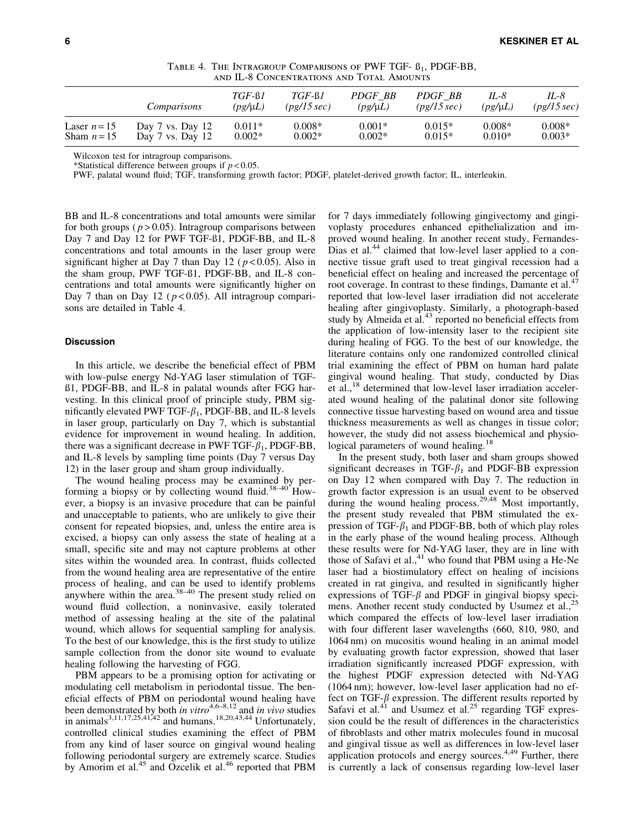|                             | AND ILEO VADNJISHINA HUBO AND TUTAL AMUUNTO  |                          |                         |                         |                        |                      |                      |
|-----------------------------|----------------------------------------------|--------------------------|-------------------------|-------------------------|------------------------|----------------------|----------------------|
|                             | Comparisons                                  | $TGF-61$<br>$(pg/\mu L)$ | $TGF-61$<br>(pg/15 sec) | PDGF BB<br>$(pg/\mu L)$ | PDGF BB<br>(pg/15 sec) | IL-8<br>$(pg/\mu L)$ | IL-8<br>(pg/15 sec)  |
| Laser $n=15$<br>Sham $n=15$ | Day $7$ vs. Day $12$<br>Day $7$ vs. Day $12$ | $0.011*$<br>$0.002*$     | $0.008*$<br>$0.002*$    | $0.001*$<br>$0.002*$    | $0.015*$<br>$0.015*$   | $0.008*$<br>$0.010*$ | $0.008*$<br>$0.003*$ |

TABLE 4. THE INTRAGROUP COMPARISONS OF PWF TGF-  $\beta_1$ , PDGF-BB, and IL-8 Concentrations and Total Amounts

Wilcoxon test for intragroup comparisons.

\*Statistical difference between groups if  $p < 0.05$ .

PWF, palatal wound fluid; TGF, transforming growth factor; PDGF, platelet-derived growth factor; IL, interleukin.

BB and IL-8 concentrations and total amounts were similar for both groups ( $p > 0.05$ ). Intragroup comparisons between Day 7 and Day 12 for PWF TGF-ß1, PDGF-BB, and IL-8 concentrations and total amounts in the laser group were significant higher at Day 7 than Day 12 ( *p* < 0.05). Also in the sham group, PWF TGF-ß1, PDGF-BB, and IL-8 concentrations and total amounts were significantly higher on Day 7 than on Day 12 ( $p < 0.05$ ). All intragroup comparisons are detailed in Table 4.

#### **Discussion**

In this article, we describe the beneficial effect of PBM with low-pulse energy Nd-YAG laser stimulation of TGFß1, PDGF-BB, and IL-8 in palatal wounds after FGG harvesting. In this clinical proof of principle study, PBM significantly elevated PWF TGF- $\beta_1$ , PDGF-BB, and IL-8 levels in laser group, particularly on Day 7, which is substantial evidence for improvement in wound healing. In addition, there was a significant decrease in PWF TGF- $\beta_1$ , PDGF-BB, and IL-8 levels by sampling time points (Day 7 versus Day 12) in the laser group and sham group individually.

The wound healing process may be examined by performing a biopsy or by collecting wound fluid.<sup>38-40</sup> However, a biopsy is an invasive procedure that can be painful and unacceptable to patients, who are unlikely to give their consent for repeated biopsies, and, unless the entire area is excised, a biopsy can only assess the state of healing at a small, specific site and may not capture problems at other sites within the wounded area. In contrast, fluids collected from the wound healing area are representative of the entire process of healing, and can be used to identify problems anywhere within the area. $38-40$  The present study relied on wound fluid collection, a noninvasive, easily tolerated method of assessing healing at the site of the palatinal wound, which allows for sequential sampling for analysis. To the best of our knowledge, this is the first study to utilize sample collection from the donor site wound to evaluate healing following the harvesting of FGG.

PBM appears to be a promising option for activating or modulating cell metabolism in periodontal tissue. The beneficial effects of PBM on periodontal wound healing have been demonstrated by both *in vitro*<sup>4,6–8,12</sup> and *in vivo* studies in animals<sup>3,11,17,25,41,42</sup> and humans.<sup>18,20,43,44</sup> Unfortunately, controlled clinical studies examining the effect of PBM from any kind of laser source on gingival wound healing following periodontal surgery are extremely scarce. Studies by Amorim et al.<sup>45</sup> and Ozcelik et al.<sup>46</sup> reported that PBM for 7 days immediately following gingivectomy and gingivoplasty procedures enhanced epithelialization and improved wound healing. In another recent study, Fernandes-Dias et al.<sup>44</sup> claimed that low-level laser applied to a connective tissue graft used to treat gingival recession had a beneficial effect on healing and increased the percentage of root coverage. In contrast to these findings, Damante et al. $47$ reported that low-level laser irradiation did not accelerate healing after gingivoplasty. Similarly, a photograph-based study by Almeida et al.<sup>43</sup> reported no beneficial effects from the application of low-intensity laser to the recipient site during healing of FGG. To the best of our knowledge, the literature contains only one randomized controlled clinical trial examining the effect of PBM on human hard palate gingival wound healing. That study, conducted by Dias et al.,<sup>18</sup> determined that low-level laser irradiation accelerated wound healing of the palatinal donor site following connective tissue harvesting based on wound area and tissue thickness measurements as well as changes in tissue color; however, the study did not assess biochemical and physiological parameters of wound healing.<sup>18</sup>

In the present study, both laser and sham groups showed significant decreases in TGF- $\beta_1$  and PDGF-BB expression on Day 12 when compared with Day 7. The reduction in growth factor expression is an usual event to be observed during the wound healing process.<sup>29,48</sup> Most importantly, the present study revealed that PBM stimulated the expression of TGF- $\beta_1$  and PDGF-BB, both of which play roles in the early phase of the wound healing process. Although these results were for Nd-YAG laser, they are in line with those of Safavi et al., $41$  who found that PBM using a He-Ne laser had a biostimulatory effect on healing of incisions created in rat gingiva, and resulted in significantly higher expressions of TGF- $\beta$  and PDGF in gingival biopsy specimens. Another recent study conducted by Usumez et al.,<sup>25</sup> which compared the effects of low-level laser irradiation with four different laser wavelengths (660, 810, 980, and 1064 nm) on mucositis wound healing in an animal model by evaluating growth factor expression, showed that laser irradiation significantly increased PDGF expression, with the highest PDGF expression detected with Nd-YAG (1064 nm); however, low-level laser application had no effect on TGF- $\beta$  expression. The different results reported by Safavi et al.<sup>41</sup> and Usumez et al.<sup>25</sup> regarding TGF expression could be the result of differences in the characteristics of fibroblasts and other matrix molecules found in mucosal and gingival tissue as well as differences in low-level laser application protocols and energy sources.<sup>4,49</sup> Further, there is currently a lack of consensus regarding low-level laser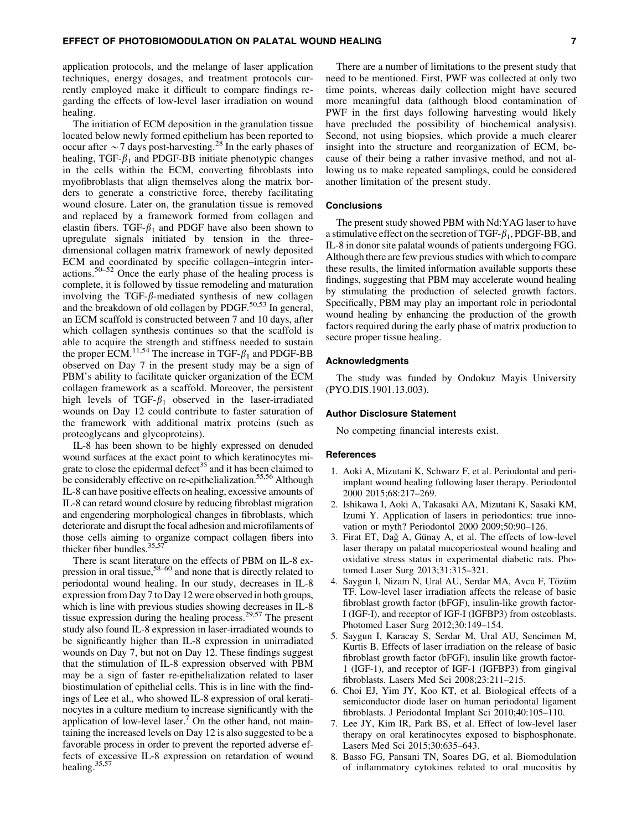application protocols, and the melange of laser application techniques, energy dosages, and treatment protocols currently employed make it difficult to compare findings regarding the effects of low-level laser irradiation on wound healing.

The initiation of ECM deposition in the granulation tissue located below newly formed epithelium has been reported to occur after  $\sim$  7 days post-harvesting.<sup>28</sup> In the early phases of healing, TGF- $\beta_1$  and PDGF-BB initiate phenotypic changes in the cells within the ECM, converting fibroblasts into myofibroblasts that align themselves along the matrix borders to generate a constrictive force, thereby facilitating wound closure. Later on, the granulation tissue is removed and replaced by a framework formed from collagen and elastin fibers. TGF- $\beta_1$  and PDGF have also been shown to upregulate signals initiated by tension in the threedimensional collagen matrix framework of newly deposited ECM and coordinated by specific collagen–integrin interactions.<sup>50–52</sup> Once the early phase of the healing process is complete, it is followed by tissue remodeling and maturation involving the TGF- $\beta$ -mediated synthesis of new collagen and the breakdown of old collagen by PDGF.<sup>50,53</sup> In general, an ECM scaffold is constructed between 7 and 10 days, after which collagen synthesis continues so that the scaffold is able to acquire the strength and stiffness needed to sustain the proper ECM.<sup>11,54</sup> The increase in TGF- $\beta_1$  and PDGF-BB observed on Day 7 in the present study may be a sign of PBM's ability to facilitate quicker organization of the ECM collagen framework as a scaffold. Moreover, the persistent high levels of TGF- $\beta_1$  observed in the laser-irradiated wounds on Day 12 could contribute to faster saturation of the framework with additional matrix proteins (such as proteoglycans and glycoproteins).

IL-8 has been shown to be highly expressed on denuded wound surfaces at the exact point to which keratinocytes migrate to close the epidermal defect<sup>35</sup> and it has been claimed to be considerably effective on re-epithelialization.<sup>55,56</sup> Although IL-8 can have positive effects on healing, excessive amounts of IL-8 can retard wound closure by reducing fibroblast migration and engendering morphological changes in fibroblasts, which deteriorate and disrupt the focal adhesion and microfilaments of those cells aiming to organize compact collagen fibers into thicker fiber bundles. $35,57$ 

There is scant literature on the effects of PBM on IL-8 expression in oral tissue,<sup>58–60</sup> and none that is directly related to periodontal wound healing. In our study, decreases in IL-8 expression from Day 7 to Day 12 were observed in both groups, which is line with previous studies showing decreases in IL-8 tissue expression during the healing process.<sup>29,57</sup> The present study also found IL-8 expression in laser-irradiated wounds to be significantly higher than IL-8 expression in unirradiated wounds on Day 7, but not on Day 12. These findings suggest that the stimulation of IL-8 expression observed with PBM may be a sign of faster re-epithelialization related to laser biostimulation of epithelial cells. This is in line with the findings of Lee et al., who showed IL-8 expression of oral keratinocytes in a culture medium to increase significantly with the application of low-level laser.<sup> $\prime$ </sup> On the other hand, not maintaining the increased levels on Day 12 is also suggested to be a favorable process in order to prevent the reported adverse effects of excessive IL-8 expression on retardation of wound healing.35,57

There are a number of limitations to the present study that need to be mentioned. First, PWF was collected at only two time points, whereas daily collection might have secured more meaningful data (although blood contamination of PWF in the first days following harvesting would likely have precluded the possibility of biochemical analysis). Second, not using biopsies, which provide a much clearer insight into the structure and reorganization of ECM, because of their being a rather invasive method, and not allowing us to make repeated samplings, could be considered another limitation of the present study.

#### **Conclusions**

The present study showed PBM with Nd:YAG laser to have a stimulative effect on the secretion of TGF- $\beta_1$ , PDGF-BB, and IL-8 in donor site palatal wounds of patients undergoing FGG. Although there are few previous studies with which to compare these results, the limited information available supports these findings, suggesting that PBM may accelerate wound healing by stimulating the production of selected growth factors. Specifically, PBM may play an important role in periodontal wound healing by enhancing the production of the growth factors required during the early phase of matrix production to secure proper tissue healing.

#### Acknowledgments

The study was funded by Ondokuz Mayis University (PYO.DIS.1901.13.003).

#### Author Disclosure Statement

No competing financial interests exist.

#### References

- 1. Aoki A, Mizutani K, Schwarz F, et al. Periodontal and periimplant wound healing following laser therapy. Periodontol 2000 2015;68:217–269.
- 2. Ishikawa I, Aoki A, Takasaki AA, Mizutani K, Sasaki KM, Izumi Y. Application of lasers in periodontics: true innovation or myth? Periodontol 2000 2009;50:90–126.
- 3. Firat ET, Dağ A, Günay A, et al. The effects of low-level laser therapy on palatal mucoperiosteal wound healing and oxidative stress status in experimental diabetic rats. Photomed Laser Surg 2013;31:315–321.
- 4. Saygun I, Nizam N, Ural AU, Serdar MA, Avcu F, Tözüm TF. Low-level laser irradiation affects the release of basic fibroblast growth factor (bFGF), insulin-like growth factor-I (IGF-I), and receptor of IGF-I (IGFBP3) from osteoblasts. Photomed Laser Surg 2012;30:149–154.
- 5. Saygun I, Karacay S, Serdar M, Ural AU, Sencimen M, Kurtis B. Effects of laser irradiation on the release of basic fibroblast growth factor (bFGF), insulin like growth factor-1 (IGF-1), and receptor of IGF-1 (IGFBP3) from gingival fibroblasts. Lasers Med Sci 2008;23:211–215.
- 6. Choi EJ, Yim JY, Koo KT, et al. Biological effects of a semiconductor diode laser on human periodontal ligament fibroblasts. J Periodontal Implant Sci 2010;40:105–110.
- 7. Lee JY, Kim IR, Park BS, et al. Effect of low-level laser therapy on oral keratinocytes exposed to bisphosphonate. Lasers Med Sci 2015;30:635–643.
- 8. Basso FG, Pansani TN, Soares DG, et al. Biomodulation of inflammatory cytokines related to oral mucositis by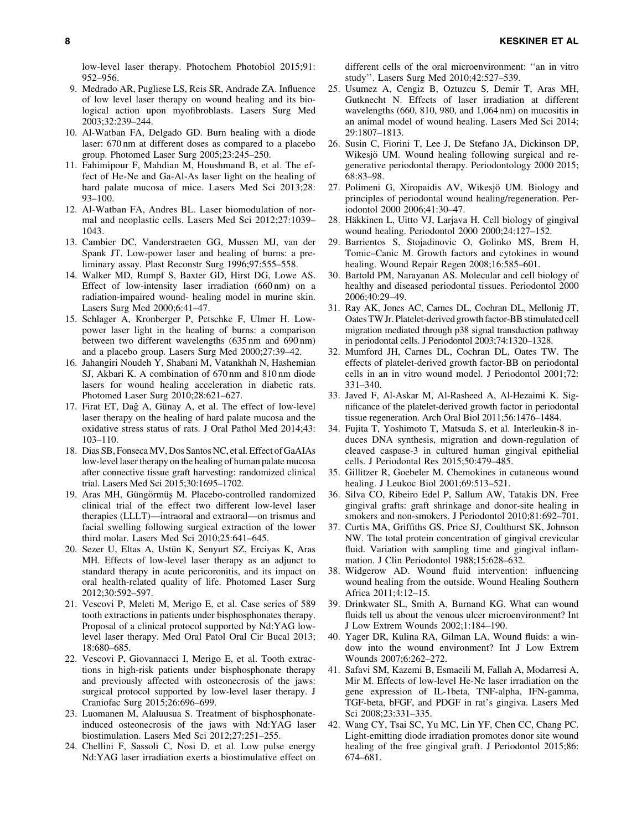low-level laser therapy. Photochem Photobiol 2015;91: 952–956.

- 9. Medrado AR, Pugliese LS, Reis SR, Andrade ZA. Influence of low level laser therapy on wound healing and its biological action upon myofibroblasts. Lasers Surg Med 2003;32:239–244.
- 10. Al-Watban FA, Delgado GD. Burn healing with a diode laser: 670 nm at different doses as compared to a placebo group. Photomed Laser Surg 2005;23:245–250.
- 11. Fahimipour F, Mahdian M, Houshmand B, et al. The effect of He-Ne and Ga-Al-As laser light on the healing of hard palate mucosa of mice. Lasers Med Sci 2013;28: 93–100.
- 12. Al-Watban FA, Andres BL. Laser biomodulation of normal and neoplastic cells. Lasers Med Sci 2012;27:1039– 1043.
- 13. Cambier DC, Vanderstraeten GG, Mussen MJ, van der Spank JT. Low-power laser and healing of burns: a preliminary assay. Plast Reconstr Surg 1996;97:555–558.
- 14. Walker MD, Rumpf S, Baxter GD, Hirst DG, Lowe AS. Effect of low-intensity laser irradiation (660 nm) on a radiation-impaired wound- healing model in murine skin. Lasers Surg Med 2000;6:41–47.
- 15. Schlager A, Kronberger P, Petschke F, Ulmer H. Lowpower laser light in the healing of burns: a comparison between two different wavelengths (635 nm and 690 nm) and a placebo group. Lasers Surg Med 2000;27:39–42.
- 16. Jahangiri Noudeh Y, Shabani M, Vatankhah N, Hashemian SJ, Akbari K. A combination of 670 nm and 810 nm diode lasers for wound healing acceleration in diabetic rats. Photomed Laser Surg 2010;28:621–627.
- 17. Firat ET, Dağ A, Günay A, et al. The effect of low-level laser therapy on the healing of hard palate mucosa and the oxidative stress status of rats. J Oral Pathol Med 2014;43: 103–110.
- 18. Dias SB, Fonseca MV, Dos Santos NC, et al. Effect of GaAIAs low-level laser therapy on the healing of human palate mucosa after connective tissue graft harvesting: randomized clinical trial. Lasers Med Sci 2015;30:1695–1702.
- 19. Aras MH, Güngörmüş M. Placebo-controlled randomized clinical trial of the effect two different low-level laser therapies (LLLT)—intraoral and extraoral—on trismus and facial swelling following surgical extraction of the lower third molar. Lasers Med Sci 2010;25:641–645.
- 20. Sezer U, Eltas A, Ustün K, Senyurt SZ, Erciyas K, Aras MH. Effects of low-level laser therapy as an adjunct to standard therapy in acute pericoronitis, and its impact on oral health-related quality of life. Photomed Laser Surg 2012;30:592–597.
- 21. Vescovi P, Meleti M, Merigo E, et al. Case series of 589 tooth extractions in patients under bisphosphonates therapy. Proposal of a clinical protocol supported by Nd:YAG lowlevel laser therapy. Med Oral Patol Oral Cir Bucal 2013; 18:680–685.
- 22. Vescovi P, Giovannacci I, Merigo E, et al. Tooth extractions in high-risk patients under bisphosphonate therapy and previously affected with osteonecrosis of the jaws: surgical protocol supported by low-level laser therapy. J Craniofac Surg 2015;26:696–699.
- 23. Luomanen M, Alaluusua S. Treatment of bisphosphonateinduced osteonecrosis of the jaws with Nd:YAG laser biostimulation. Lasers Med Sci 2012;27:251–255.
- 24. Chellini F, Sassoli C, Nosi D, et al. Low pulse energy Nd:YAG laser irradiation exerts a biostimulative effect on

different cells of the oral microenvironment: ''an in vitro study''. Lasers Surg Med 2010;42:527–539.

- 25. Usumez A, Cengiz B, Oztuzcu S, Demir T, Aras MH, Gutknecht N. Effects of laser irradiation at different wavelengths (660, 810, 980, and 1,064 nm) on mucositis in an animal model of wound healing. Lasers Med Sci 2014; 29:1807–1813.
- 26. Susin C, Fiorini T, Lee J, De Stefano JA, Dickinson DP, Wikesjö UM. Wound healing following surgical and regenerative periodontal therapy. Periodontology 2000 2015; 68:83–98.
- 27. Polimeni G, Xiropaidis AV, Wikesjo¨ UM. Biology and principles of periodontal wound healing/regeneration. Periodontol 2000 2006;41:30–47.
- 28. Häkkinen L, Uitto VJ, Larjava H. Cell biology of gingival wound healing. Periodontol 2000 2000;24:127–152.
- 29. Barrientos S, Stojadinovic O, Golinko MS, Brem H, Tomic–Canic M. Growth factors and cytokines in wound healing. Wound Repair Regen 2008;16:585–601.
- 30. Bartold PM, Narayanan AS. Molecular and cell biology of healthy and diseased periodontal tissues. Periodontol 2000 2006;40:29–49.
- 31. Ray AK, Jones AC, Carnes DL, Cochran DL, Mellonig JT, Oates TW Jr. Platelet-derived growth factor-BB stimulated cell migration mediated through p38 signal transduction pathway in periodontal cells. J Periodontol 2003;74:1320–1328.
- 32. Mumford JH, Carnes DL, Cochran DL, Oates TW. The effects of platelet-derived growth factor-BB on periodontal cells in an in vitro wound model. J Periodontol 2001;72: 331–340.
- 33. Javed F, Al-Askar M, Al-Rasheed A, Al-Hezaimi K. Significance of the platelet-derived growth factor in periodontal tissue regeneration. Arch Oral Biol 2011;56:1476–1484.
- 34. Fujita T, Yoshimoto T, Matsuda S, et al. Interleukin-8 induces DNA synthesis, migration and down-regulation of cleaved caspase-3 in cultured human gingival epithelial cells. J Periodontal Res 2015;50:479–485.
- 35. Gillitzer R, Goebeler M. Chemokines in cutaneous wound healing. J Leukoc Biol 2001;69:513–521.
- 36. Silva CO, Ribeiro Edel P, Sallum AW, Tatakis DN. Free gingival grafts: graft shrinkage and donor-site healing in smokers and non-smokers. J Periodontol 2010;81:692–701.
- 37. Curtis MA, Griffiths GS, Price SJ, Coulthurst SK, Johnson NW. The total protein concentration of gingival crevicular fluid. Variation with sampling time and gingival inflammation. J Clin Periodontol 1988;15:628–632.
- 38. Widgerow AD. Wound fluid intervention: influencing wound healing from the outside. Wound Healing Southern Africa 2011;4:12–15.
- 39. Drinkwater SL, Smith A, Burnand KG. What can wound fluids tell us about the venous ulcer microenvironment? Int J Low Extrem Wounds 2002;1:184–190.
- 40. Yager DR, Kulina RA, Gilman LA. Wound fluids: a window into the wound environment? Int J Low Extrem Wounds 2007;6:262–272.
- 41. Safavi SM, Kazemi B, Esmaeili M, Fallah A, Modarresi A, Mir M. Effects of low-level He-Ne laser irradiation on the gene expression of IL-1beta, TNF-alpha, IFN-gamma, TGF-beta, bFGF, and PDGF in rat's gingiva. Lasers Med Sci 2008;23:331–335.
- 42. Wang CY, Tsai SC, Yu MC, Lin YF, Chen CC, Chang PC. Light-emitting diode irradiation promotes donor site wound healing of the free gingival graft. J Periodontol 2015;86: 674–681.